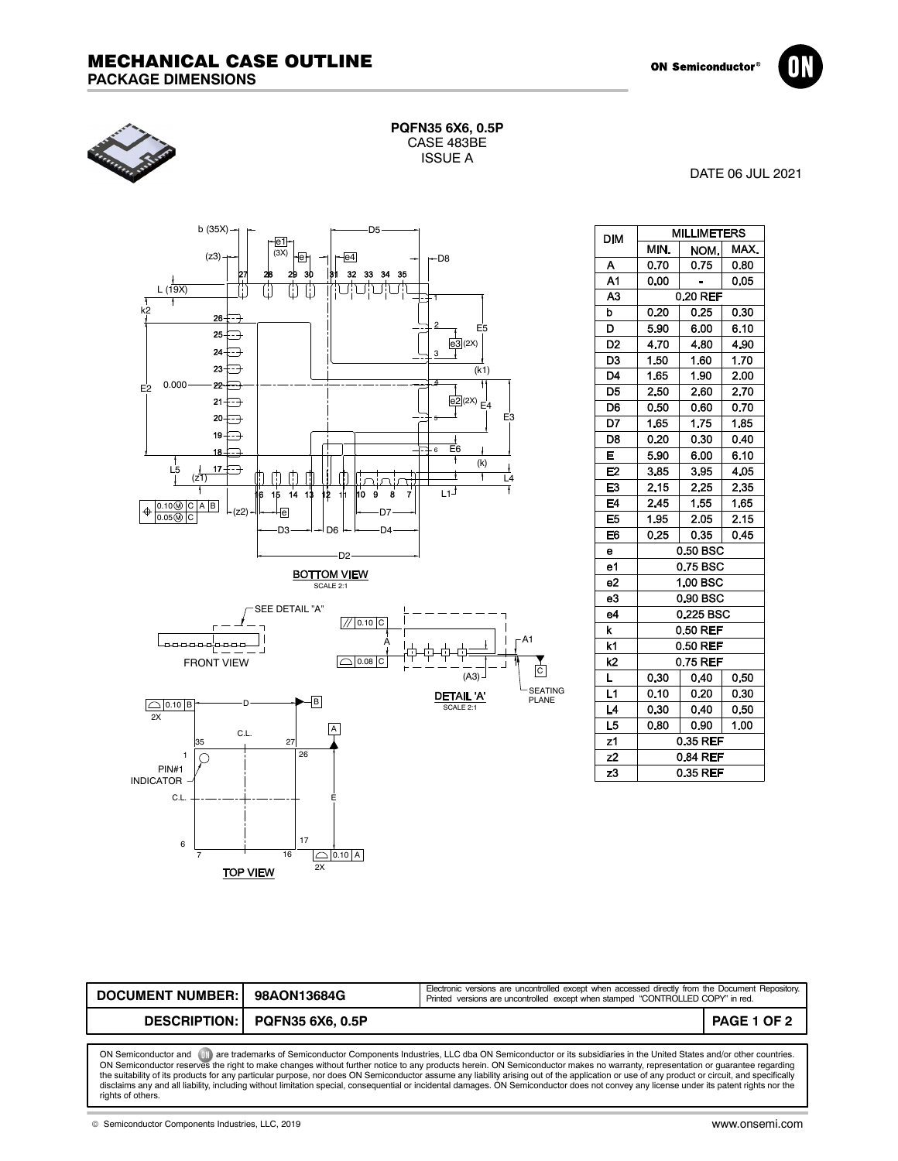





| PQFN35 6X6, 0.5P |
|------------------|
| CASE 483BE       |
| <b>ISSUE A</b>   |

DATE 06 JUL 2021



| DIM            |           | <b>MILLIMETERS</b> |      |
|----------------|-----------|--------------------|------|
|                | MIN.      | NOM.               | MAX. |
| Α              | 0.70      | 0.75               | 0.80 |
| A1             | 0.00      |                    | 0.05 |
| A <sub>3</sub> | 0.20 REF  |                    |      |
| b              | 0.20      | 0.25               | 0.30 |
| D              | 5.90      | 6.00               | 6.10 |
| D <sub>2</sub> | 4.70      | 4.80               | 4.90 |
| D <sub>3</sub> | 1.50      | 1.60               | 1.70 |
| D4             | 1.65      | 1.90               | 2.00 |
| D <sub>5</sub> | 2.50      | 2.60               | 2.70 |
| D <sub>6</sub> | 0.50      | 0.60               | 0.70 |
| D7             | 1.65      | 1.75               | 1.85 |
| D8             | 0.20      | 0.30               | 0.40 |
| E              | 5.90      | 6.00               | 6.10 |
| E <sub>2</sub> | 3.85      | 3.95               | 4.05 |
| E3             | 2.15      | 2.25               | 2.35 |
| E4             | 2.45      | 1.55               | 1.65 |
| E <sub>5</sub> | 1.95      | 2.05               | 2.15 |
| E6             | 0.25      | 0.35               | 0.45 |
| $\bullet$      |           | 0.50 BSC           |      |
| e1             |           | 0.75 BSC           |      |
| e2             | 1.00 BSC  |                    |      |
| e3             | 0.90 BSC  |                    |      |
| e4             | 0.225 BSC |                    |      |
| k              | 0.50 REF  |                    |      |
| k1             | 0.50 REF  |                    |      |
| k2             | 0.75 REF  |                    |      |
| L              | 0.30      | 0.40               | 0.50 |
| L1             | 0.10      | 0.20               | 0.30 |
| L4             | 0.30      | 0.40               | 0.50 |
| L5             | 0.80      | 0.90               | 1.00 |
| z1             | 0.35 REF  |                    |      |
| z <sub>2</sub> | 0.84 REF  |                    |      |
| z3             | 0.35 REF  |                    |      |

| <b>DOCUMENT NUMBER: I</b>                                                                                                                       | 98AON13684G                   | Electronic versions are uncontrolled except when accessed directly from the Document Repository.<br>Printed versions are uncontrolled except when stamped "CONTROLLED COPY" in red. |                    |  |  |
|-------------------------------------------------------------------------------------------------------------------------------------------------|-------------------------------|-------------------------------------------------------------------------------------------------------------------------------------------------------------------------------------|--------------------|--|--|
|                                                                                                                                                 | DESCRIPTION: PQFN35 6X6, 0.5P |                                                                                                                                                                                     | <b>PAGE 1 OF 2</b> |  |  |
| $-1$<br>المالية المستحيل والمستحيل والمتحدث والمستحيل والمستحيل والمستحيل والمستحيل والمستحيل والمستحيل والمستحيل والمستحيل والمستحيل والمستحيل |                               |                                                                                                                                                                                     |                    |  |  |

ON Semiconductor and (UN) are trademarks of Semiconductor Components Industries, LLC dba ON Semiconductor or its subsidiaries in the United States and/or other countries.<br>ON Semiconductor reserves the right to make changes